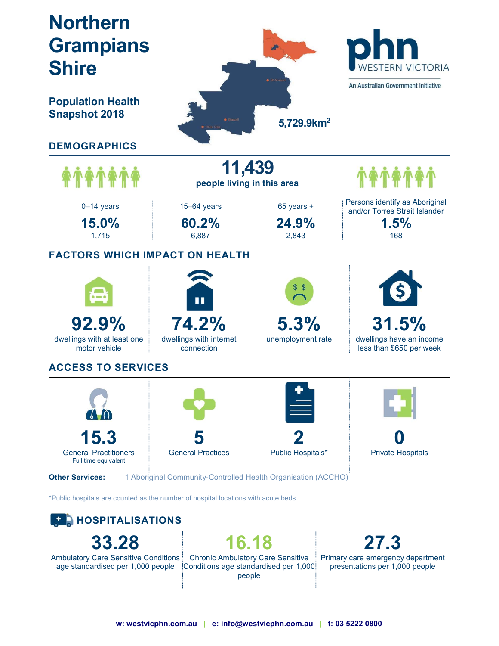



33.28 Ambulatory Care Sensitive Conditions age standardised per 1,000 people

16.18 Chronic Ambulatory Care Sensitive Conditions age standardised per 1,000 people

27.3

Primary care emergency department presentations per 1,000 people